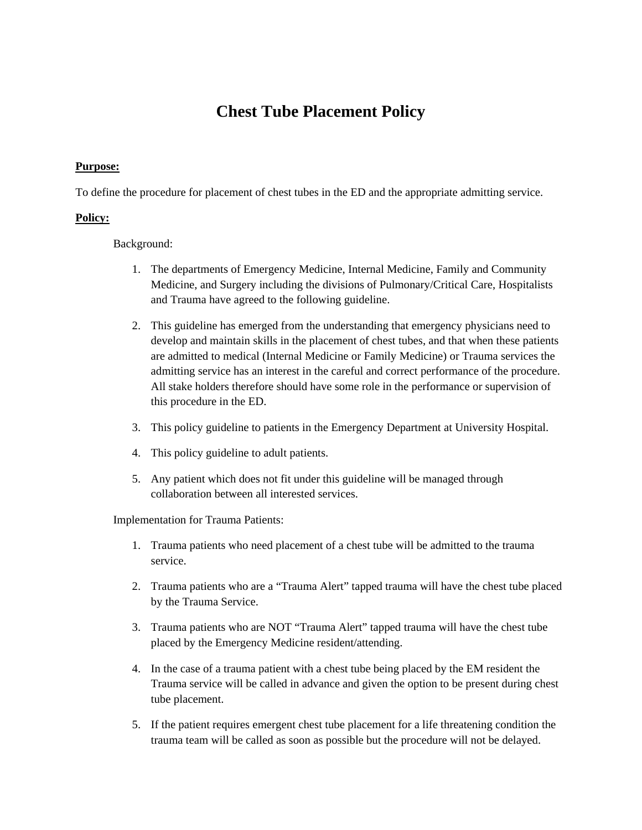## **Chest Tube Placement Policy**

## **Purpose:**

To define the procedure for placement of chest tubes in the ED and the appropriate admitting service.

## **Policy:**

Background:

- 1. The departments of Emergency Medicine, Internal Medicine, Family and Community Medicine, and Surgery including the divisions of Pulmonary/Critical Care, Hospitalists and Trauma have agreed to the following guideline.
- 2. This guideline has emerged from the understanding that emergency physicians need to develop and maintain skills in the placement of chest tubes, and that when these patients are admitted to medical (Internal Medicine or Family Medicine) or Trauma services the admitting service has an interest in the careful and correct performance of the procedure. All stake holders therefore should have some role in the performance or supervision of this procedure in the ED.
- 3. This policy guideline to patients in the Emergency Department at University Hospital.
- 4. This policy guideline to adult patients.
- 5. Any patient which does not fit under this guideline will be managed through collaboration between all interested services.

Implementation for Trauma Patients:

- 1. Trauma patients who need placement of a chest tube will be admitted to the trauma service.
- 2. Trauma patients who are a "Trauma Alert" tapped trauma will have the chest tube placed by the Trauma Service.
- 3. Trauma patients who are NOT "Trauma Alert" tapped trauma will have the chest tube placed by the Emergency Medicine resident/attending.
- 4. In the case of a trauma patient with a chest tube being placed by the EM resident the Trauma service will be called in advance and given the option to be present during chest tube placement.
- 5. If the patient requires emergent chest tube placement for a life threatening condition the trauma team will be called as soon as possible but the procedure will not be delayed.